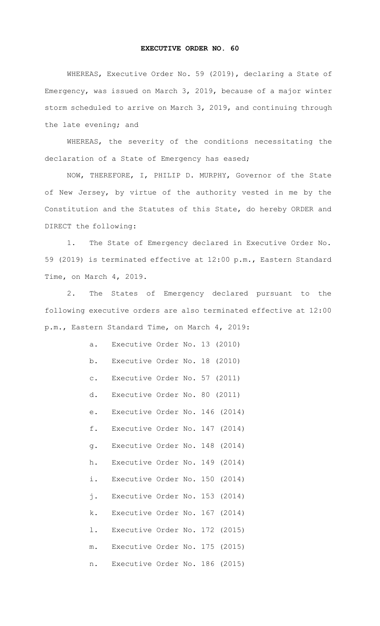## **EXECUTIVE ORDER NO. 60**

WHEREAS, Executive Order No. 59 (2019), declaring a State of Emergency, was issued on March 3, 2019, because of a major winter storm scheduled to arrive on March 3, 2019, and continuing through the late evening; and

WHEREAS, the severity of the conditions necessitating the declaration of a State of Emergency has eased;

NOW, THEREFORE, I, PHILIP D. MURPHY, Governor of the State of New Jersey, by virtue of the authority vested in me by the Constitution and the Statutes of this State, do hereby ORDER and DIRECT the following:

1. The State of Emergency declared in Executive Order No. 59 (2019) is terminated effective at 12:00 p.m., Eastern Standard Time, on March 4, 2019.

2. The States of Emergency declared pursuant to the following executive orders are also terminated effective at 12:00 p.m., Eastern Standard Time, on March 4, 2019:

| a.             | Executive Order No. 13 (2010)  |  |        |
|----------------|--------------------------------|--|--------|
| b.             | Executive Order No. 18 (2010)  |  |        |
| $\mathtt{C}$ . | Executive Order No. 57         |  | (2011) |
| d.             | Executive Order No. 80         |  | (2011) |
| е.             | Executive Order No. 146 (2014) |  |        |
| f.             | Executive Order No. 147        |  | (2014) |
| g.             | Executive Order No. 148        |  | (2014) |
| h.             | Executive Order No. 149        |  | (2014) |
| i.             | Executive Order No. 150        |  | (2014) |
| j.             | Executive Order No. 153        |  | (2014) |
| k.             | Executive Order No. 167        |  | (2014) |
| l.             | Executive Order No. 172        |  | (2015) |
| $m$ .          | Executive Order No. 175        |  | (2015) |
| n.             | Executive Order No. 186        |  | (2015) |